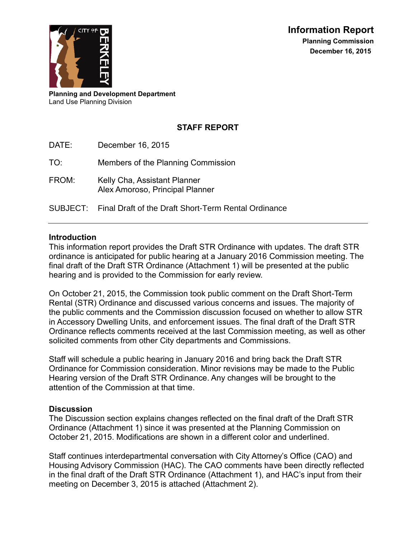

**Planning and Development Department** Land Use Planning Division

# **STAFF REPORT**

DATE: December 16, 2015

TO: Members of the Planning Commission

FROM: Kelly Cha, Assistant Planner Alex Amoroso, Principal Planner

SUBJECT: Final Draft of the Draft Short-Term Rental Ordinance

#### **Introduction**

This information report provides the Draft STR Ordinance with updates. The draft STR ordinance is anticipated for public hearing at a January 2016 Commission meeting. The final draft of the Draft STR Ordinance (Attachment 1) will be presented at the public hearing and is provided to the Commission for early review.

On October 21, 2015, the Commission took public comment on the Draft Short-Term Rental (STR) Ordinance and discussed various concerns and issues. The majority of the public comments and the Commission discussion focused on whether to allow STR in Accessory Dwelling Units, and enforcement issues. The final draft of the Draft STR Ordinance reflects comments received at the last Commission meeting, as well as other solicited comments from other City departments and Commissions.

Staff will schedule a public hearing in January 2016 and bring back the Draft STR Ordinance for Commission consideration. Minor revisions may be made to the Public Hearing version of the Draft STR Ordinance. Any changes will be brought to the attention of the Commission at that time.

#### **Discussion**

The Discussion section explains changes reflected on the final draft of the Draft STR Ordinance (Attachment 1) since it was presented at the Planning Commission on October 21, 2015. Modifications are shown in a different color and underlined.

Staff continues interdepartmental conversation with City Attorney's Office (CAO) and Housing Advisory Commission (HAC). The CAO comments have been directly reflected in the final draft of the Draft STR Ordinance (Attachment 1), and HAC's input from their meeting on December 3, 2015 is attached (Attachment 2).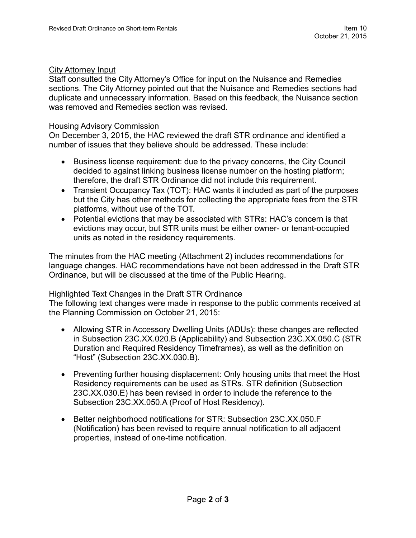#### City Attorney Input

Staff consulted the City Attorney's Office for input on the Nuisance and Remedies sections. The City Attorney pointed out that the Nuisance and Remedies sections had duplicate and unnecessary information. Based on this feedback, the Nuisance section was removed and Remedies section was revised.

#### Housing Advisory Commission

On December 3, 2015, the HAC reviewed the draft STR ordinance and identified a number of issues that they believe should be addressed. These include:

- Business license requirement: due to the privacy concerns, the City Council decided to against linking business license number on the hosting platform; therefore, the draft STR Ordinance did not include this requirement.
- Transient Occupancy Tax (TOT): HAC wants it included as part of the purposes but the City has other methods for collecting the appropriate fees from the STR platforms, without use of the TOT.
- Potential evictions that may be associated with STRs: HAC's concern is that evictions may occur, but STR units must be either owner- or tenant-occupied units as noted in the residency requirements.

The minutes from the HAC meeting (Attachment 2) includes recommendations for language changes. HAC recommendations have not been addressed in the Draft STR Ordinance, but will be discussed at the time of the Public Hearing.

#### Highlighted Text Changes in the Draft STR Ordinance

The following text changes were made in response to the public comments received at the Planning Commission on October 21, 2015:

- Allowing STR in Accessory Dwelling Units (ADUs): these changes are reflected in Subsection 23C.XX.020.B (Applicability) and Subsection 23C.XX.050.C (STR Duration and Required Residency Timeframes), as well as the definition on "Host" (Subsection 23C.XX.030.B).
- Preventing further housing displacement: Only housing units that meet the Host Residency requirements can be used as STRs. STR definition (Subsection 23C.XX.030.E) has been revised in order to include the reference to the Subsection 23C.XX.050.A (Proof of Host Residency).
- Better neighborhood notifications for STR: Subsection 23C.XX.050.F (Notification) has been revised to require annual notification to all adjacent properties, instead of one-time notification.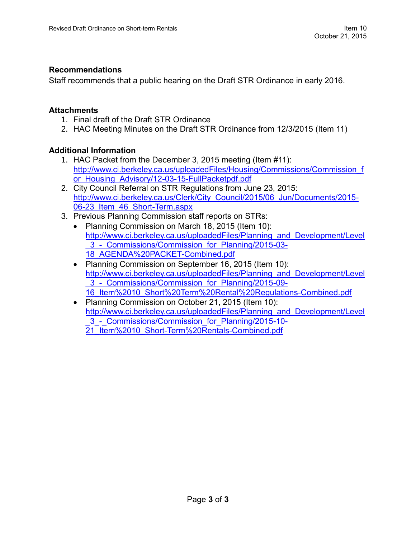#### **Recommendations**

Staff recommends that a public hearing on the Draft STR Ordinance in early 2016.

#### **Attachments**

- 1. Final draft of the Draft STR Ordinance
- 2. HAC Meeting Minutes on the Draft STR Ordinance from 12/3/2015 (Item 11)

#### **Additional Information**

- 1. HAC Packet from the December 3, 2015 meeting (Item #11): [http://www.ci.berkeley.ca.us/uploadedFiles/Housing/Commissions/Commission\\_f](http://www.ci.berkeley.ca.us/uploadedFiles/Housing/Commissions/Commission_for_Housing_Advisory/12-03-15-FullPacketpdf.pdf) or Housing Advisory/12-03-15-FullPacketpdf.pdf
- 2. City Council Referral on STR Regulations from June 23, 2015: [http://www.ci.berkeley.ca.us/Clerk/City\\_Council/2015/06\\_Jun/Documents/2015-](http://www.ci.berkeley.ca.us/Clerk/City_Council/2015/06_Jun/Documents/2015-06-23_Item_46_Short-Term.aspx) [06-23\\_Item\\_46\\_Short-Term.aspx](http://www.ci.berkeley.ca.us/Clerk/City_Council/2015/06_Jun/Documents/2015-06-23_Item_46_Short-Term.aspx)
- 3. Previous Planning Commission staff reports on STRs:
	- Planning Commission on March 18, 2015 (Item 10): [http://www.ci.berkeley.ca.us/uploadedFiles/Planning\\_and\\_Development/Level](http://www.ci.berkeley.ca.us/uploadedFiles/Planning_and_Development/Level_3_-_Commissions/Commission_for_Planning/2015-03-18_AGENDA%20PACKET-Combined.pdf) [\\_3\\_-\\_Commissions/Commission\\_for\\_Planning/2015-03-](http://www.ci.berkeley.ca.us/uploadedFiles/Planning_and_Development/Level_3_-_Commissions/Commission_for_Planning/2015-03-18_AGENDA%20PACKET-Combined.pdf) [18\\_AGENDA%20PACKET-Combined.pdf](http://www.ci.berkeley.ca.us/uploadedFiles/Planning_and_Development/Level_3_-_Commissions/Commission_for_Planning/2015-03-18_AGENDA%20PACKET-Combined.pdf)
	- Planning Commission on September 16, 2015 (Item 10): [http://www.ci.berkeley.ca.us/uploadedFiles/Planning\\_and\\_Development/Level](http://www.ci.berkeley.ca.us/uploadedFiles/Planning_and_Development/Level_3_-_Commissions/Commission_for_Planning/2015-09-16_Item%2010_Short%20Term%20Rental%20Regulations-Combined.pdf) 3 - Commissions/Commission for Planning/2015-09-[16\\_Item%2010\\_Short%20Term%20Rental%20Regulations-Combined.pdf](http://www.ci.berkeley.ca.us/uploadedFiles/Planning_and_Development/Level_3_-_Commissions/Commission_for_Planning/2015-09-16_Item%2010_Short%20Term%20Rental%20Regulations-Combined.pdf)
	- Planning Commission on October 21, 2015 (Item 10): [http://www.ci.berkeley.ca.us/uploadedFiles/Planning\\_and\\_Development/Level](http://www.ci.berkeley.ca.us/uploadedFiles/Planning_and_Development/Level_3_-_Commissions/Commission_for_Planning/2015-10-21_Item%2010_Short-Term%20Rentals-Combined.pdf) 3 - Commissions/Commission for Planning/2015-10-[21\\_Item%2010\\_Short-Term%20Rentals-Combined.pdf](http://www.ci.berkeley.ca.us/uploadedFiles/Planning_and_Development/Level_3_-_Commissions/Commission_for_Planning/2015-10-21_Item%2010_Short-Term%20Rentals-Combined.pdf)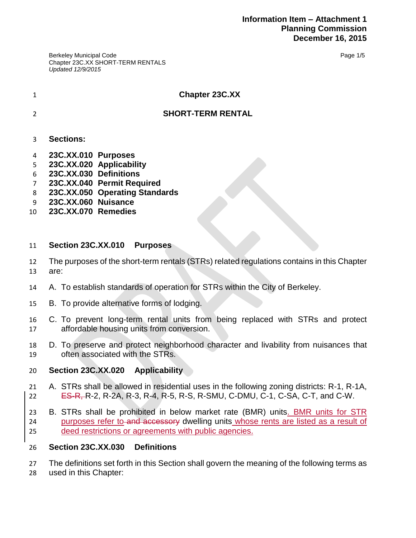Berkeley Municipal Code Chapter 23C.XX SHORT-TERM RENTALS *Updated 12/9/2015*

Page 1/5

#### **Chapter 23C.XX**

## **SHORT-TERM RENTAL**

- **Sections:**
- **23C.XX.010 Purposes**
- **23C.XX.020 Applicability**
- **23C.XX.030 Definitions**
- **23C.XX.040 Permit Required**
- **23C.XX.050 Operating Standards**
- **23C.XX.060 Nuisance**
- **23C.XX.070 Remedies**

#### **Section 23C.XX.010 Purposes**

The purposes of the short-term rentals (STRs) related regulations contains in this Chapter

are:

- A. To establish standards of operation for STRs within the City of Berkeley.
- B. To provide alternative forms of lodging.
- C. To prevent long-term rental units from being replaced with STRs and protect affordable housing units from conversion.
- D. To preserve and protect neighborhood character and livability from nuisances that often associated with the STRs.

#### **Section 23C.XX.020 Applicability**

- A. STRs shall be allowed in residential uses in the following zoning districts: R-1, R-1A, ES-R, R-2, R-2A, R-3, R-4, R-5, R-S, R-SMU, C-DMU, C-1, C-SA, C-T, and C-W.
- B. STRs shall be prohibited in below market rate (BMR) units. BMR units for STR 24 purposes refer to and accessory dwelling units whose rents are listed as a result of deed restrictions or agreements with public agencies.

#### **Section 23C.XX.030 Definitions**

27 The definitions set forth in this Section shall govern the meaning of the following terms as used in this Chapter: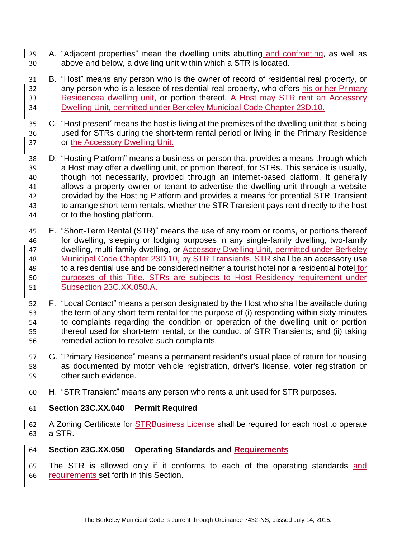- A. "Adjacent properties" mean the dwelling units abutting and confronting, as well as above and below, a dwelling unit within which a STR is located.
- B. "Host" means any person who is the owner of record of residential real property, or 32 any person who is a lessee of residential real property, who offers his or her Primary 33 Residencea dwelling unit, or portion thereof. A Host may STR rent an Accessory Dwelling Unit, permitted under Berkeley Municipal Code Chapter 23D.10.
- C. "Host present" means the host is living at the premises of the dwelling unit that is being used for STRs during the short-term rental period or living in the Primary Residence or the Accessory Dwelling Unit.
- D. "Hosting Platform" means a business or person that provides a means through which a Host may offer a dwelling unit, or portion thereof, for STRs. This service is usually, though not necessarily, provided through an internet-based platform. It generally allows a property owner or tenant to advertise the dwelling unit through a website provided by the Hosting Platform and provides a means for potential STR Transient to arrange short-term rentals, whether the STR Transient pays rent directly to the host or to the hosting platform.
- E. "Short-Term Rental (STR)" means the use of any room or rooms, or portions thereof for dwelling, sleeping or lodging purposes in any single-family dwelling, two-family dwelling, multi-family dwelling, or Accessory Dwelling Unit, permitted under Berkeley Municipal Code Chapter 23D.10, by STR Transients. STR shall be an accessory use 49 to a residential use and be considered neither a tourist hotel nor a residential hotel for purposes of this Title. STRs are subjects to Host Residency requirement under Subsection 23C.XX.050.A.
- F. "Local Contact" means a person designated by the Host who shall be available during the term of any short-term rental for the purpose of (i) responding within sixty minutes to complaints regarding the condition or operation of the dwelling unit or portion thereof used for short-term rental, or the conduct of STR Transients; and (ii) taking remedial action to resolve such complaints.
- G. "Primary Residence" means a permanent resident's usual place of return for housing as documented by motor vehicle registration, driver's license, voter registration or other such evidence.
- H. "STR Transient" means any person who rents a unit used for STR purposes.

## **Section 23C.XX.040 Permit Required**

62 A Zoning Certificate for STRBusiness License shall be required for each host to operate a STR.

## **Section 23C.XX.050 Operating Standards and Requirements**

65 The STR is allowed only if it conforms to each of the operating standards and requirements set forth in this Section.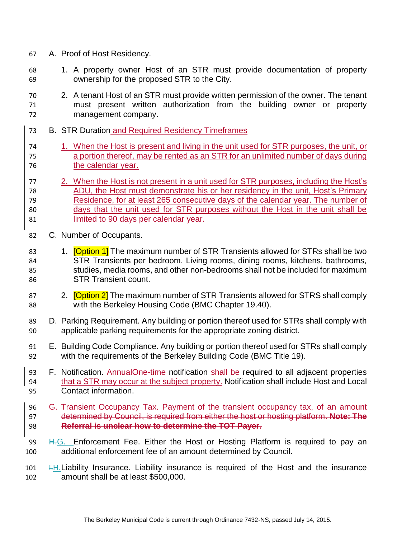- A. Proof of Host Residency.
- 1. A property owner Host of an STR must provide documentation of property ownership for the proposed STR to the City.
- 2. A tenant Host of an STR must provide written permission of the owner. The tenant must present written authorization from the building owner or property management company.
- B. STR Duration and Required Residency Timeframes
- 1. When the Host is present and living in the unit used for STR purposes, the unit, or a portion thereof, may be rented as an STR for an unlimited number of days during the calendar year.

#### 2. When the Host is not present in a unit used for STR purposes, including the Host's ADU, the Host must demonstrate his or her residency in the unit, Host's Primary Residence, for at least 265 consecutive days of the calendar year. The number of days that the unit used for STR purposes without the Host in the unit shall be limited to 90 days per calendar year.

- C. Number of Occupants.
- 83 1. **[Option 1]** The maximum number of STR Transients allowed for STRs shall be two STR Transients per bedroom. Living rooms, dining rooms, kitchens, bathrooms, studies, media rooms, and other non-bedrooms shall not be included for maximum STR Transient count.
- 87 2. **[Option 2]** The maximum number of STR Transients allowed for STRS shall comply with the Berkeley Housing Code (BMC Chapter 19.40).
- D. Parking Requirement. Any building or portion thereof used for STRs shall comply with applicable parking requirements for the appropriate zoning district.
- E. Building Code Compliance. Any building or portion thereof used for STRs shall comply with the requirements of the Berkeley Building Code (BMC Title 19).
- 93 F. Notification. AnnualOne-time notification shall be required to all adjacent properties that a STR may occur at the subject property. Notification shall include Host and Local Contact information.
- G. Transient Occupancy Tax. Payment of the transient occupancy tax, of an amount determined by Council, is required from either the host or hosting platform. **Note: The Referral is unclear how to determine the TOT Payer.**
- 99 H.G. Enforcement Fee. Either the Host or Hosting Platform is required to pay an additional enforcement fee of an amount determined by Council.
- **I.H. Liability Insurance. Liability insurance is required of the Host and the insurance** amount shall be at least \$500,000.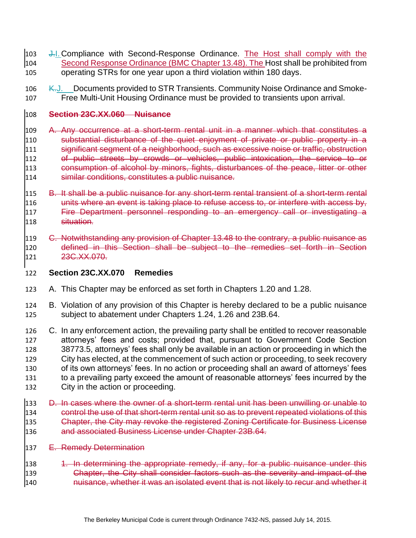- 103 J.I. Compliance with Second-Response Ordinance. The Host shall comply with the 104 Second Response Ordinance (BMC Chapter 13.48). The Host shall be prohibited from operating STRs for one year upon a third violation within 180 days.
- 106 K.J. Documents provided to STR Transients. Community Noise Ordinance and Smoke-Free Multi-Unit Housing Ordinance must be provided to transients upon arrival.

#### **Section 23C.XX.060 Nuisance**

- A. Any occurrence at a short-term rental unit in a manner which that constitutes a substantial disturbance of the quiet enjoyment of private or public property in a 111 significant segment of a neighborhood, such as excessive noise or traffic, obstruction of public streets by crowds or vehicles, public intoxication, the service to or consumption of alcohol by minors, fights, disturbances of the peace, litter or other similar conditions, constitutes a public nuisance.
- B. It shall be a public nuisance for any short-term rental transient of a short-term rental 116 units where an event is taking place to refuse access to, or interfere with access by, Fire Department personnel responding to an emergency call or investigating a situation.
- C. Notwithstanding any provision of Chapter 13.48 to the contrary, a public nuisance as defined in this Section shall be subject to the remedies set forth in Section 121 23C.XX.070.
- **Section 23C.XX.070 Remedies**
- A. This Chapter may be enforced as set forth in Chapters 1.20 and 1.28.
- B. Violation of any provision of this Chapter is hereby declared to be a public nuisance subject to abatement under Chapters 1.24, 1.26 and 23B.64.
- C. In any enforcement action, the prevailing party shall be entitled to recover reasonable attorneys' fees and costs; provided that, pursuant to Government Code Section 38773.5, attorneys' fees shall only be available in an action or proceeding in which the City has elected, at the commencement of such action or proceeding, to seek recovery of its own attorneys' fees. In no action or proceeding shall an award of attorneys' fees to a prevailing party exceed the amount of reasonable attorneys' fees incurred by the City in the action or proceeding.
- 133 D. In cases where the owner of a short-term rental unit has been unwilling or unable to control the use of that short-term rental unit so as to prevent repeated violations of this 135 Chapter, the City may revoke the registered Zoning Certificate for Business License and associated Business License under Chapter 23B.64.
- 137 E. Remedy Determination
- 138 1. In determining the appropriate remedy, if any, for a public nuisance under this Chapter, the City shall consider factors such as the severity and impact of the 140 huisance, whether it was an isolated event that is not likely to recur and whether it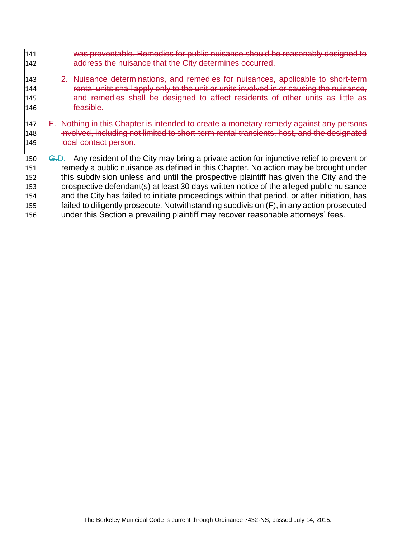- was preventable. Remedies for public nuisance should be reasonably designed to 142 address the nuisance that the City determines occurred.
- 143 2. Nuisance determinations, and remedies for nuisances, applicable to short-term **rental units shall apply only to the unit or units involved in or causing the nuisance,**  and remedies shall be designed to affect residents of other units as little as feasible.
- 147 F. Nothing in this Chapter is intended to create a monetary remedy against any persons involved, including not limited to short-term rental transients, host, and the designated 149 local contact person.
- 150 G.D. Any resident of the City may bring a private action for injunctive relief to prevent or remedy a public nuisance as defined in this Chapter. No action may be brought under this subdivision unless and until the prospective plaintiff has given the City and the prospective defendant(s) at least 30 days written notice of the alleged public nuisance and the City has failed to initiate proceedings within that period, or after initiation, has failed to diligently prosecute. Notwithstanding subdivision (F), in any action prosecuted under this Section a prevailing plaintiff may recover reasonable attorneys' fees.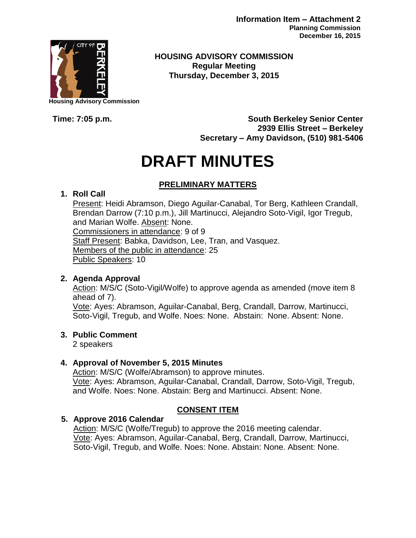**Information Item – Attachment 2 Planning Commission December 16, 2015**



**Housing Advisory Commission**

**HOUSING ADVISORY COMMISSION Regular Meeting Thursday, December 3, 2015**

**Time: 7:05 p.m. South Berkeley Senior Center 2939 Ellis Street – Berkeley Secretary – Amy Davidson, (510) 981-5406**

# **DRAFT MINUTES**

# **PRELIMINARY MATTERS**

## **1. Roll Call**

Present: Heidi Abramson, Diego Aguilar-Canabal, Tor Berg, Kathleen Crandall, Brendan Darrow (7:10 p.m.), Jill Martinucci, Alejandro Soto-Vigil, Igor Tregub, and Marian Wolfe. Absent: None. Commissioners in attendance: 9 of 9 Staff Present: Babka, Davidson, Lee, Tran, and Vasquez. Members of the public in attendance: 25 Public Speakers: 10

## **2. Agenda Approval**

Action: M/S/C (Soto-Vigil/Wolfe) to approve agenda as amended (move item 8 ahead of 7).

Vote: Ayes: Abramson, Aguilar-Canabal, Berg, Crandall, Darrow, Martinucci, Soto-Vigil, Tregub, and Wolfe. Noes: None. Abstain: None. Absent: None.

## **3. Public Comment**

2 speakers

## **4. Approval of November 5, 2015 Minutes**

Action: M/S/C (Wolfe/Abramson) to approve minutes. Vote: Ayes: Abramson, Aguilar-Canabal, Crandall, Darrow, Soto-Vigil, Tregub, and Wolfe. Noes: None. Abstain: Berg and Martinucci. Absent: None.

## **CONSENT ITEM**

## **5. Approve 2016 Calendar**

Action: M/S/C (Wolfe/Tregub) to approve the 2016 meeting calendar. Vote: Ayes: Abramson, Aguilar-Canabal, Berg, Crandall, Darrow, Martinucci, Soto-Vigil, Tregub, and Wolfe. Noes: None. Abstain: None. Absent: None.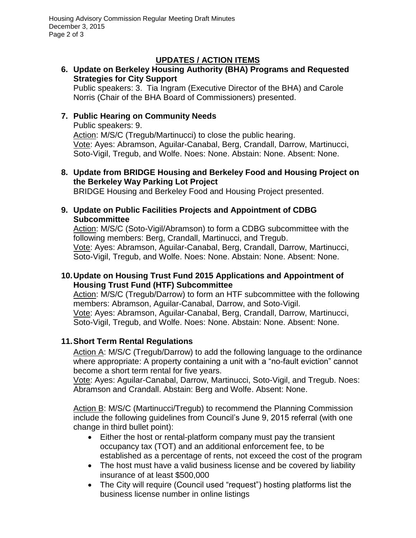# **UPDATES / ACTION ITEMS**

## **6. Update on Berkeley Housing Authority (BHA) Programs and Requested Strategies for City Support**

Public speakers: 3. Tia Ingram (Executive Director of the BHA) and Carole Norris (Chair of the BHA Board of Commissioners) presented.

## **7. Public Hearing on Community Needs**

Public speakers: 9.

Action: M/S/C (Tregub/Martinucci) to close the public hearing. Vote: Ayes: Abramson, Aguilar-Canabal, Berg, Crandall, Darrow, Martinucci, Soto-Vigil, Tregub, and Wolfe. Noes: None. Abstain: None. Absent: None.

### **8. Update from BRIDGE Housing and Berkeley Food and Housing Project on the Berkeley Way Parking Lot Project**

BRIDGE Housing and Berkeley Food and Housing Project presented.

#### **9. Update on Public Facilities Projects and Appointment of CDBG Subcommittee**

Action: M/S/C (Soto-Vigil/Abramson) to form a CDBG subcommittee with the following members: Berg, Crandall, Martinucci, and Tregub. Vote: Ayes: Abramson, Aguilar-Canabal, Berg, Crandall, Darrow, Martinucci, Soto-Vigil, Tregub, and Wolfe. Noes: None. Abstain: None. Absent: None.

## **10.Update on Housing Trust Fund 2015 Applications and Appointment of Housing Trust Fund (HTF) Subcommittee**

Action: M/S/C (Tregub/Darrow) to form an HTF subcommittee with the following members: Abramson, Aguilar-Canabal, Darrow, and Soto-Vigil. Vote: Ayes: Abramson, Aguilar-Canabal, Berg, Crandall, Darrow, Martinucci, Soto-Vigil, Tregub, and Wolfe. Noes: None. Abstain: None. Absent: None.

# **11.Short Term Rental Regulations**

Action A: M/S/C (Tregub/Darrow) to add the following language to the ordinance where appropriate: A property containing a unit with a "no-fault eviction" cannot become a short term rental for five years.

Vote: Ayes: Aguilar-Canabal, Darrow, Martinucci, Soto-Vigil, and Tregub. Noes: Abramson and Crandall. Abstain: Berg and Wolfe. Absent: None.

Action B: M/S/C (Martinucci/Tregub) to recommend the Planning Commission include the following guidelines from Council's June 9, 2015 referral (with one change in third bullet point):

- Either the host or rental-platform company must pay the transient occupancy tax (TOT) and an additional enforcement fee, to be established as a percentage of rents, not exceed the cost of the program
- The host must have a valid business license and be covered by liability insurance of at least \$500,000
- The City will require (Council used "request") hosting platforms list the business license number in online listings